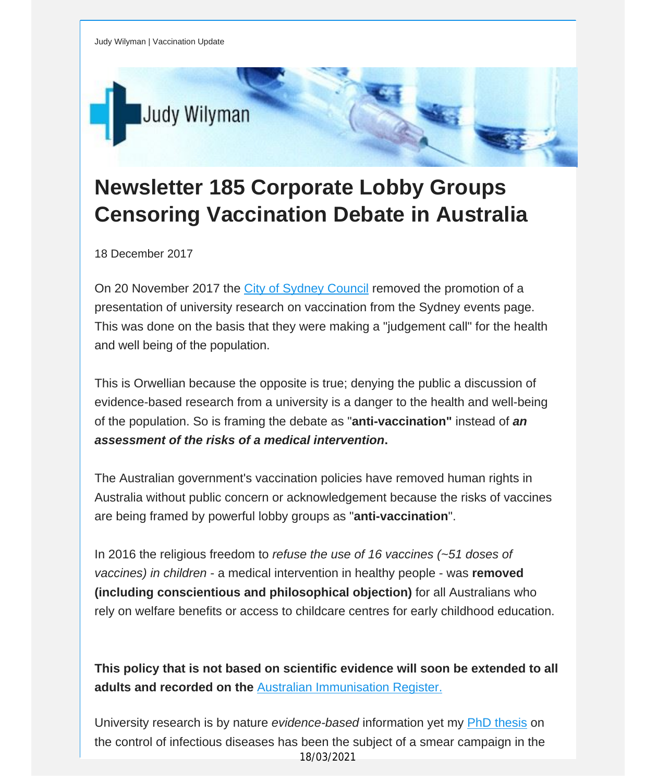

# **Newsletter 185 Corporate Lobby Groups Censoring Vaccination Debate in Australia**

18 December 2017

On 20 November 2017 the City of [Sydney](https://vaccinationdecisions.us8.list-manage.com/track/click?u=f20605fde3732e41929f4a3f2&id=2d9d82992d&e=fec8337d3c) Council removed the promotion of a presentation of university research on vaccination from the Sydney events page. This was done on the basis that they were making a "judgement call" for the health and well being of the population.

This is Orwellian because the opposite is true; denying the public a discussion of evidence-based research from a university is a danger to the health and well-being of the population. So is framing the debate as "**anti-vaccination"** instead of *an assessment of the risks of a medical intervention***.**

The Australian government's vaccination policies have removed human rights in Australia without public concern or acknowledgement because the risks of vaccines are being framed by powerful lobby groups as "**anti-vaccination**".

In 2016 the religious freedom to *refuse the use of 16 vaccines (~51 doses of vaccines) in children* - a medical intervention in healthy people - was **removed (including conscientious and philosophical objection)** for all Australians who rely on welfare benefits or access to childcare centres for early childhood education.

**This policy that is not based on scientific evidence will soon be extended to all adults and recorded on the** Australian [Immunisation](https://vaccinationdecisions.us8.list-manage.com/track/click?u=f20605fde3732e41929f4a3f2&id=8ac74a65f4&e=fec8337d3c) Register.

University research is by nature *evidence-based* information yet my PhD [thesis](https://vaccinationdecisions.us8.list-manage.com/track/click?u=f20605fde3732e41929f4a3f2&id=e1343c4bcc&e=fec8337d3c) on the control of infectious diseases has been the subject of a smear campaign in the 18/03/2021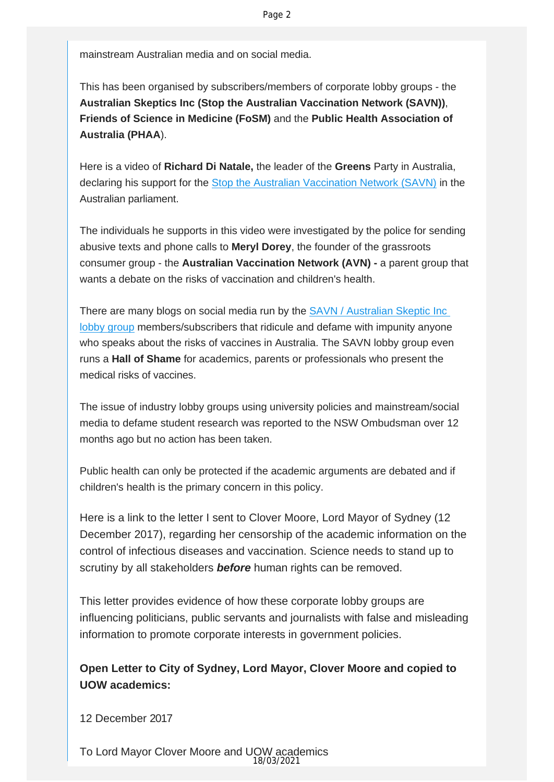mainstream Australian media and on social media.

This has been organised by subscribers/members of corporate lobby groups - the **Australian Skeptics Inc (Stop the Australian Vaccination Network (SAVN))**, **Friends of Science in Medicine (FoSM)** and the **Public Health Association of Australia (PHAA**).

Here is a video of **Richard Di Natale,** the leader of the **Greens** Party in Australia, declaring his support for the [Stop the Australian Vaccination Network \(SAVN\)](https://vaccinationdecisions.us8.list-manage.com/track/click?u=f20605fde3732e41929f4a3f2&id=2de59c40b0&e=fec8337d3c) in the Australian parliament.

The individuals he supports in this video were investigated by the police for sending abusive texts and phone calls to **Meryl Dorey**, the founder of the grassroots consumer group - the **Australian Vaccination Network (AVN) -** a parent group that wants a debate on the risks of vaccination and children's health.

There are many blogs on social media run by the [SAVN / Australian Skeptic Inc](https://vaccinationdecisions.us8.list-manage.com/track/click?u=f20605fde3732e41929f4a3f2&id=b8310a4d9f&e=fec8337d3c) [lobby group](https://vaccinationdecisions.us8.list-manage.com/track/click?u=f20605fde3732e41929f4a3f2&id=b8310a4d9f&e=fec8337d3c) members/subscribers that ridicule and defame with impunity anyone who speaks about the risks of vaccines in Australia. The SAVN lobby group even runs a **Hall of Shame** for academics, parents or professionals who present the medical risks of vaccines.

The issue of industry lobby groups using university policies and mainstream/social media to defame student research was reported to the NSW Ombudsman over 12 months ago but no action has been taken.

Public health can only be protected if the academic arguments are debated and if children's health is the primary concern in this policy.

Here is a link to the letter I sent to Clover Moore, Lord Mayor of Sydney (12 December 2017), regarding her censorship of the academic information on the control of infectious diseases and vaccination. Science needs to stand up to scrutiny by all stakeholders *before* human rights can be removed.

This letter provides evidence of how these corporate lobby groups are influencing politicians, public servants and journalists with false and misleading information to promote corporate interests in government policies.

## **Open Letter to City of Sydney, Lord Mayor, Clover Moore and copied to UOW academics:**

12 December 2017

To Lord Mayor Clover Moore and UOW academics 18/03/2021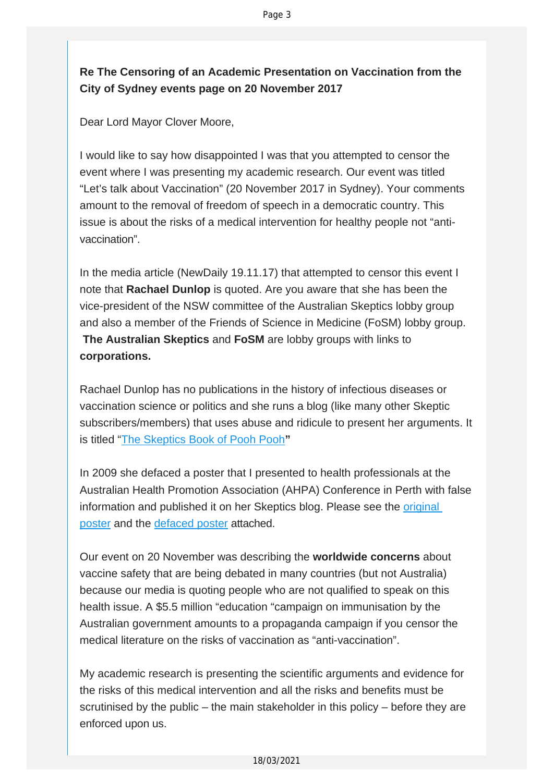## **Re The Censoring of an Academic Presentation on Vaccination from the City of Sydney events page on 20 November 2017**

Dear Lord Mayor Clover Moore,

I would like to say how disappointed I was that you attempted to censor the event where I was presenting my academic research. Our event was titled "Let's talk about Vaccination" (20 November 2017 in Sydney). Your comments amount to the removal of freedom of speech in a democratic country. This issue is about the risks of a medical intervention for healthy people not "antivaccination".

In the media article (NewDaily 19.11.17) that attempted to censor this event I note that **Rachael Dunlop** is quoted. Are you aware that she has been the vice-president of the NSW committee of the Australian Skeptics lobby group and also a member of the Friends of Science in Medicine (FoSM) lobby group. **The Australian Skeptics** and **FoSM** are lobby groups with links to **corporations.**

Rachael Dunlop has no publications in the history of infectious diseases or vaccination science or politics and she runs a blog (like many other Skeptic subscribers/members) that uses abuse and ridicule to present her arguments. It is titled "[The Skeptics Book of Pooh Pooh](https://vaccinationdecisions.us8.list-manage.com/track/click?u=f20605fde3732e41929f4a3f2&id=cd7a91d0d5&e=fec8337d3c)**"**

In 2009 she defaced a poster that I presented to health professionals at the Australian Health Promotion Association (AHPA) Conference in Perth with false information and published it on her Skeptics blog. Please see the [original](https://vaccinationdecisions.us8.list-manage.com/track/click?u=f20605fde3732e41929f4a3f2&id=40a19f10ed&e=fec8337d3c)  [poster](https://vaccinationdecisions.us8.list-manage.com/track/click?u=f20605fde3732e41929f4a3f2&id=40a19f10ed&e=fec8337d3c) and the [defaced poster](https://vaccinationdecisions.us8.list-manage.com/track/click?u=f20605fde3732e41929f4a3f2&id=0f242ca421&e=fec8337d3c) attached.

Our event on 20 November was describing the **worldwide concerns** about vaccine safety that are being debated in many countries (but not Australia) because our media is quoting people who are not qualified to speak on this health issue. A \$5.5 million "education "campaign on immunisation by the Australian government amounts to a propaganda campaign if you censor the medical literature on the risks of vaccination as "anti-vaccination".

My academic research is presenting the scientific arguments and evidence for the risks of this medical intervention and all the risks and benefits must be scrutinised by the public – the main stakeholder in this policy – before they are enforced upon us.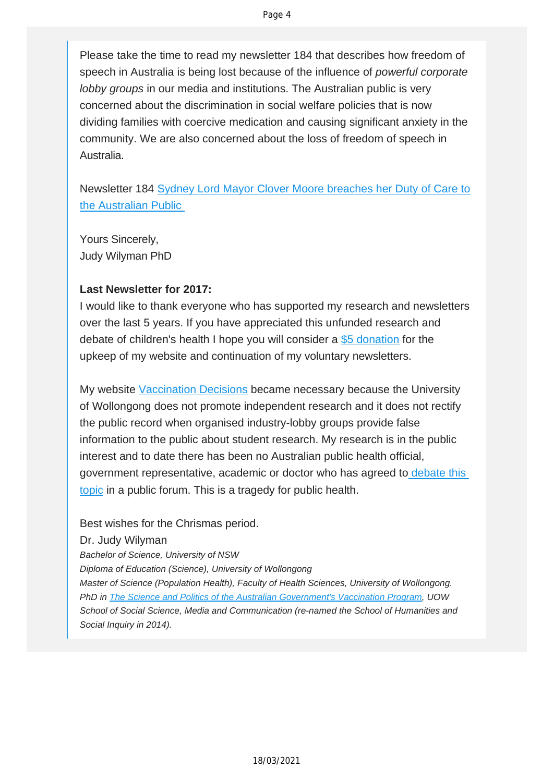Please take the time to read my newsletter 184 that describes how freedom of speech in Australia is being lost because of the influence of *powerful corporate lobby groups* in our media and institutions. The Australian public is very concerned about the discrimination in social welfare policies that is now dividing families with coercive medication and causing significant anxiety in the community. We are also concerned about the loss of freedom of speech in Australia.

Newsletter 184 [Sydney Lord Mayor Clover Moore breaches her Duty of Care to](https://vaccinationdecisions.us8.list-manage.com/track/click?u=f20605fde3732e41929f4a3f2&id=f85e52cebb&e=fec8337d3c) [the Australian Public](https://vaccinationdecisions.us8.list-manage.com/track/click?u=f20605fde3732e41929f4a3f2&id=f85e52cebb&e=fec8337d3c) 

Yours Sincerely, Judy Wilyman PhD

### **Last Newsletter for 2017:**

I would like to thank everyone who has supported my research and newsletters over the last 5 years. If you have appreciated this unfunded research and debate of children's health I hope you will consider a [\\$5 donation](https://vaccinationdecisions.us8.list-manage.com/track/click?u=f20605fde3732e41929f4a3f2&id=2218ee8241&e=fec8337d3c) for the upkeep of my website and continuation of my voluntary newsletters.

My website [Vaccination Decisions](https://vaccinationdecisions.us8.list-manage.com/track/click?u=f20605fde3732e41929f4a3f2&id=3ea338cbc8&e=fec8337d3c) became necessary because the University of Wollongong does not promote independent research and it does not rectify the public record when organised industry-lobby groups provide false information to the public about student research. My research is in the public interest and to date there has been no Australian public health official, government representative, academic or doctor who has agreed to [debate this](https://vaccinationdecisions.us8.list-manage.com/track/click?u=f20605fde3732e41929f4a3f2&id=59c59d5276&e=fec8337d3c) [topic](https://vaccinationdecisions.us8.list-manage.com/track/click?u=f20605fde3732e41929f4a3f2&id=59c59d5276&e=fec8337d3c) in a public forum. This is a tragedy for public health.

Best wishes for the Chrismas period.

### Dr. Judy Wilyman

*Bachelor of Science, University of NSW*

*Diploma of Education (Science), University of Wollongong*

*Master of Science (Population Health), Faculty of Health Sciences, University of Wollongong. PhD in [The Science and Politics of the Australian Government's Vaccination Program](https://vaccinationdecisions.us8.list-manage.com/track/click?u=f20605fde3732e41929f4a3f2&id=d50397f059&e=fec8337d3c), UOW School of Social Science, Media and Communication (re-named the School of Humanities and Social Inquiry in 2014).*